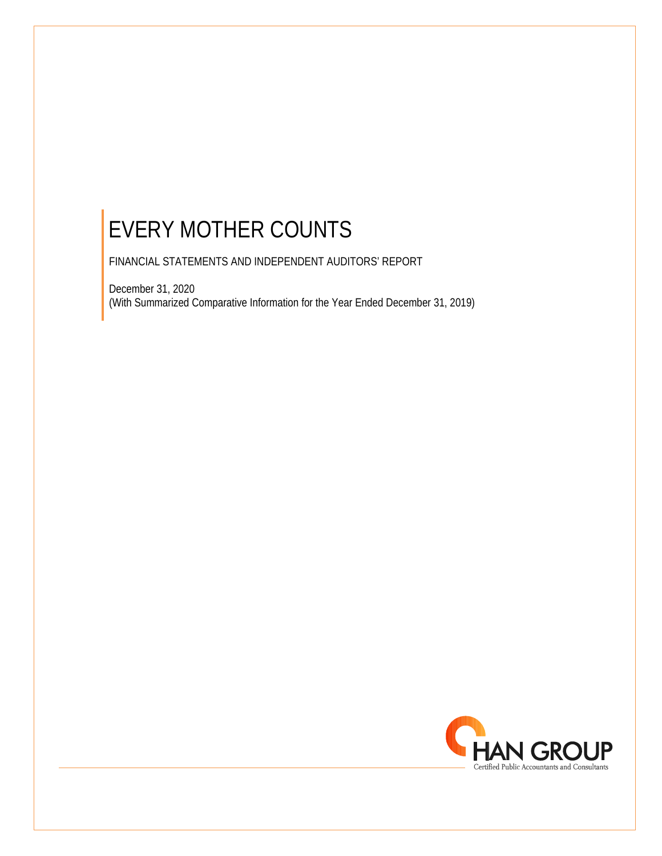FINANCIAL STATEMENTS AND INDEPENDENT AUDITORS' REPORT

December 31, 2020 (With Summarized Comparative Information for the Year Ended December 31, 2019)

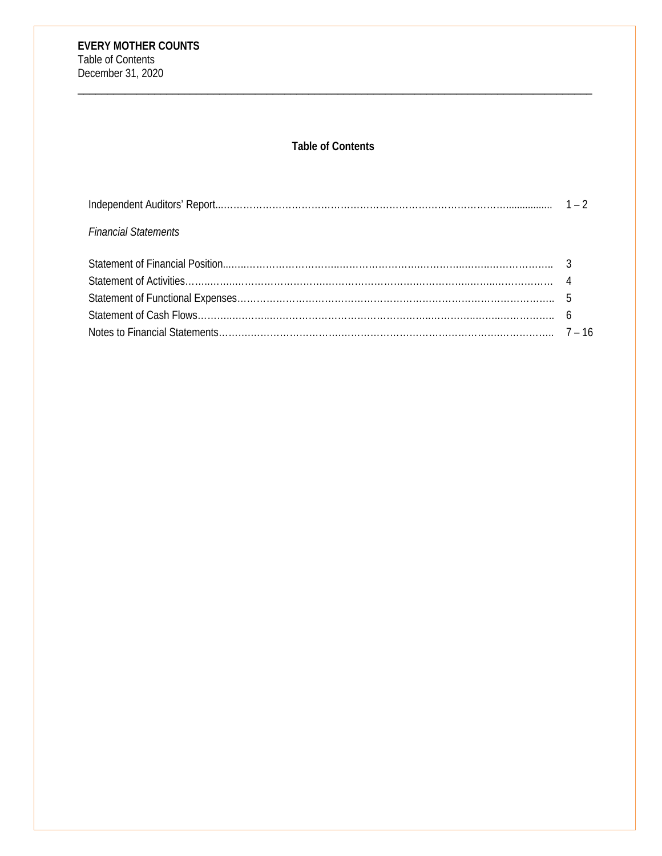# **Table of Contents**

\_\_\_\_\_\_\_\_\_\_\_\_\_\_\_\_\_\_\_\_\_\_\_\_\_\_\_\_\_\_\_\_\_\_\_\_\_\_\_\_\_\_\_\_\_\_\_\_\_\_\_\_\_\_\_\_\_\_\_\_\_\_\_\_\_\_\_\_\_\_\_\_\_\_\_\_\_\_\_\_\_\_\_\_\_\_\_

| <b>Financial Statements</b> |  |
|-----------------------------|--|
|                             |  |
|                             |  |
|                             |  |
|                             |  |
|                             |  |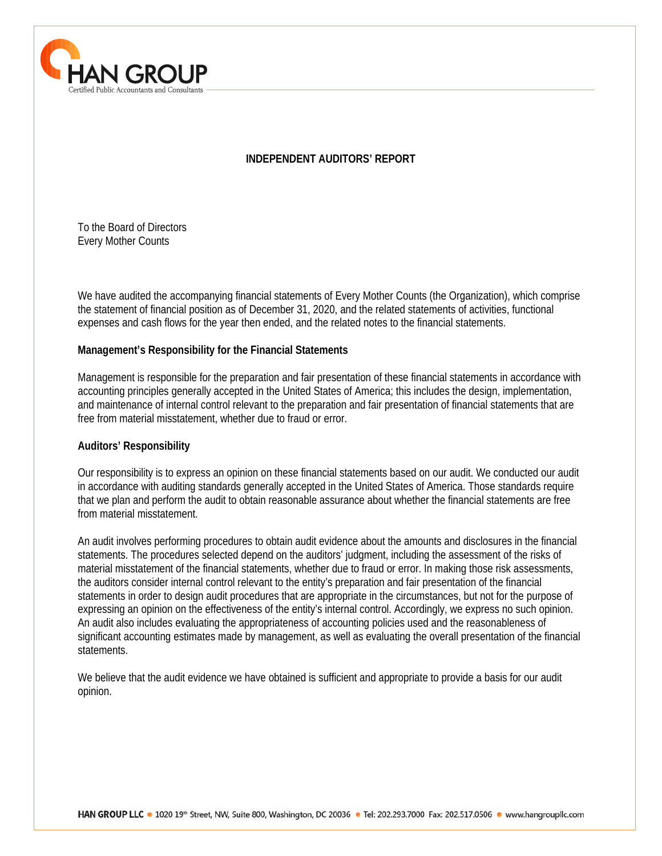

#### **INDEPENDENT AUDITORS' REPORT**

To the Board of Directors Every Mother Counts

We have audited the accompanying financial statements of Every Mother Counts (the Organization), which comprise the statement of financial position as of December 31, 2020, and the related statements of activities, functional expenses and cash flows for the year then ended, and the related notes to the financial statements.

#### **Management's Responsibility for the Financial Statements**

Management is responsible for the preparation and fair presentation of these financial statements in accordance with accounting principles generally accepted in the United States of America; this includes the design, implementation, and maintenance of internal control relevant to the preparation and fair presentation of financial statements that are free from material misstatement, whether due to fraud or error.

#### **Auditors' Responsibility**

 $\overline{a}$ 

Our responsibility is to express an opinion on these financial statements based on our audit. We conducted our audit in accordance with auditing standards generally accepted in the United States of America. Those standards require that we plan and perform the audit to obtain reasonable assurance about whether the financial statements are free from material misstatement.

An audit involves performing procedures to obtain audit evidence about the amounts and disclosures in the financial statements. The procedures selected depend on the auditors' judgment, including the assessment of the risks of material misstatement of the financial statements, whether due to fraud or error. In making those risk assessments, the auditors consider internal control relevant to the entity's preparation and fair presentation of the financial statements in order to design audit procedures that are appropriate in the circumstances, but not for the purpose of expressing an opinion on the effectiveness of the entity's internal control. Accordingly, we express no such opinion. An audit also includes evaluating the appropriateness of accounting policies used and the reasonableness of significant accounting estimates made by management, as well as evaluating the overall presentation of the financial statements.

We believe that the audit evidence we have obtained is sufficient and appropriate to provide a basis for our audit opinion.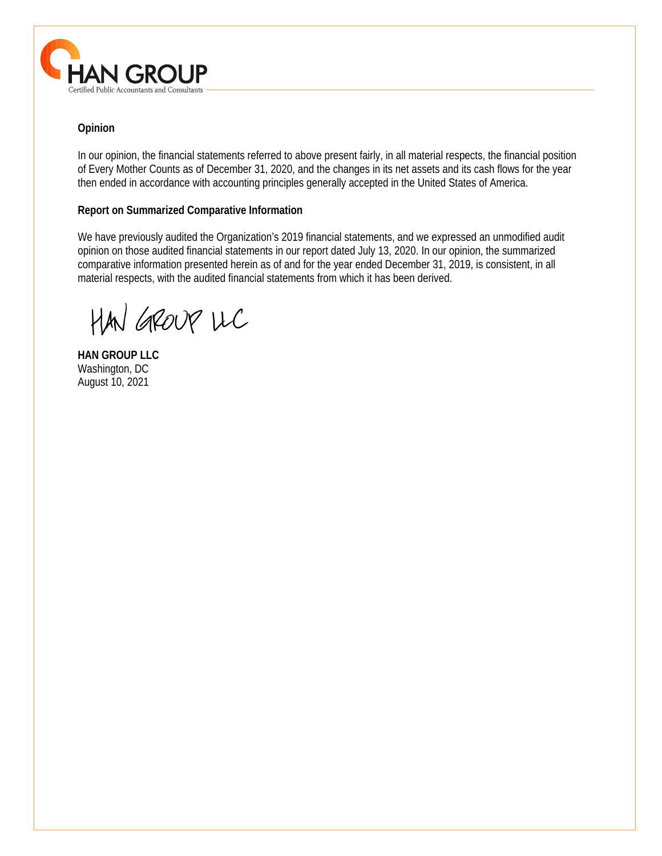

# **Opinion**

In our opinion, the financial statements referred to above present fairly, in all material respects, the financial position of Every Mother Counts as of December 31, 2020, and the changes in its net assets and its cash flows for the year then ended in accordance with accounting principles generally accepted in the United States of America.

# **Report on Summarized Comparative Information**

We have previously audited the Organization's 2019 financial statements, and we expressed an unmodified audit opinion on those audited financial statements in our report dated July 13, 2020. In our opinion, the summarized comparative information presented herein as of and for the year ended December 31, 2019, is consistent, in all material respects, with the audited financial statements from which it has been derived.

 $\overline{a}$ 

HAN GROUP LLC

**HAN GROUP LLC**  Washington, DC August 10, 2021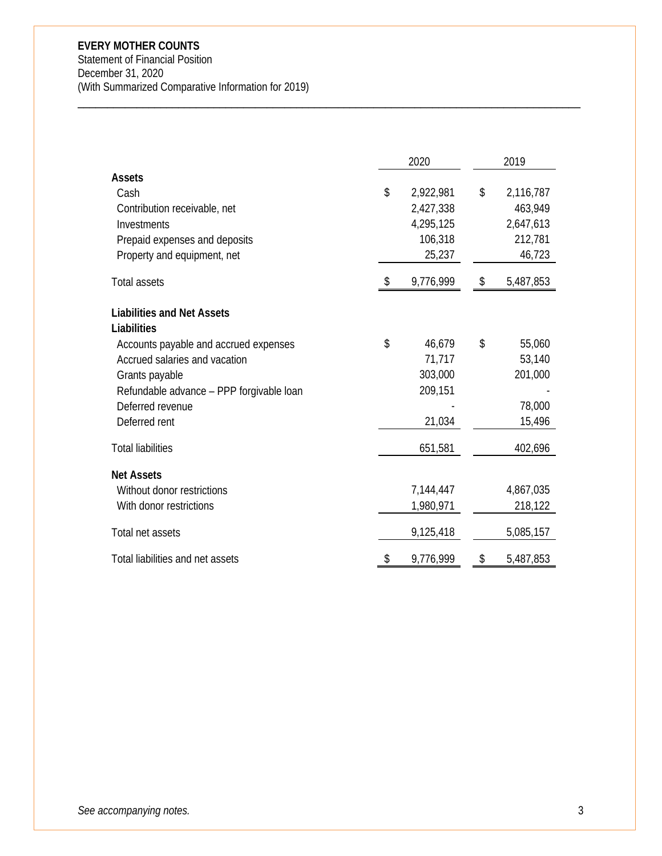Statement of Financial Position December 31, 2020 (With Summarized Comparative Information for 2019)

|                                                                                                                                                                                                                               | 2020                                                           | 2019                                                         |
|-------------------------------------------------------------------------------------------------------------------------------------------------------------------------------------------------------------------------------|----------------------------------------------------------------|--------------------------------------------------------------|
| <b>Assets</b><br>Cash<br>Contribution receivable, net<br>Investments<br>Prepaid expenses and deposits<br>Property and equipment, net                                                                                          | \$<br>2,922,981<br>2,427,338<br>4,295,125<br>106,318<br>25,237 | \$<br>2,116,787<br>463,949<br>2,647,613<br>212,781<br>46,723 |
| <b>Total assets</b>                                                                                                                                                                                                           | \$<br>9,776,999                                                | \$<br>5,487,853                                              |
| <b>Liabilities and Net Assets</b><br>Liabilities<br>Accounts payable and accrued expenses<br>Accrued salaries and vacation<br>Grants payable<br>Refundable advance - PPP forgivable loan<br>Deferred revenue<br>Deferred rent | \$<br>46,679<br>71,717<br>303,000<br>209,151<br>21,034         | \$<br>55,060<br>53,140<br>201,000<br>78,000<br>15,496        |
| <b>Total liabilities</b>                                                                                                                                                                                                      | 651,581                                                        | 402,696                                                      |
| <b>Net Assets</b><br>Without donor restrictions<br>With donor restrictions                                                                                                                                                    | 7,144,447<br>1,980,971                                         | 4,867,035<br>218,122                                         |
| Total net assets                                                                                                                                                                                                              | 9,125,418                                                      | 5,085,157                                                    |
| Total liabilities and net assets                                                                                                                                                                                              | \$<br>9,776,999                                                | \$<br>5,487,853                                              |

\_\_\_\_\_\_\_\_\_\_\_\_\_\_\_\_\_\_\_\_\_\_\_\_\_\_\_\_\_\_\_\_\_\_\_\_\_\_\_\_\_\_\_\_\_\_\_\_\_\_\_\_\_\_\_\_\_\_\_\_\_\_\_\_\_\_\_\_\_\_\_\_\_\_\_\_\_\_\_\_\_\_\_\_\_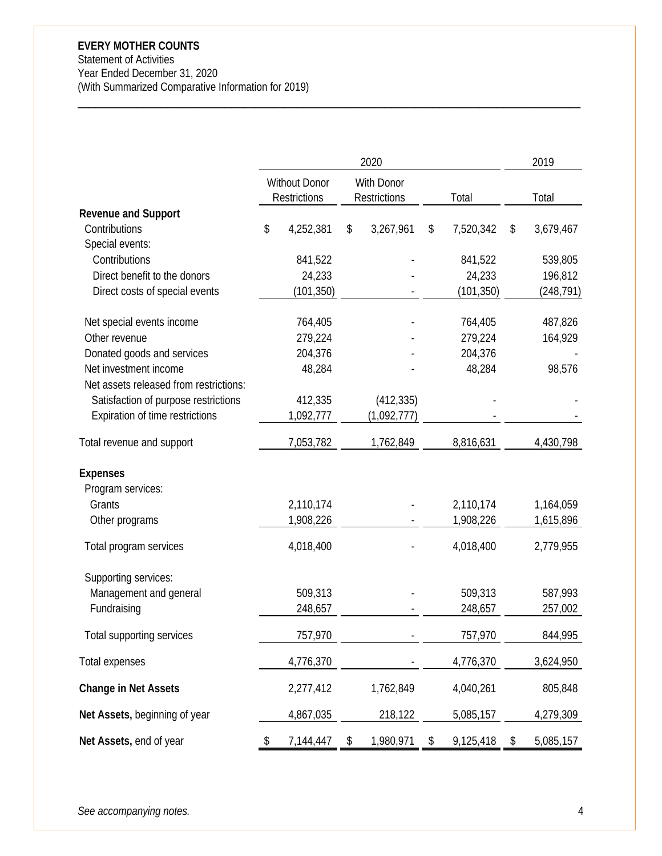Statement of Activities Year Ended December 31, 2020 (With Summarized Comparative Information for 2019)

|                                                                                                                   |                                         | 2020                              |                                         | 2019                             |
|-------------------------------------------------------------------------------------------------------------------|-----------------------------------------|-----------------------------------|-----------------------------------------|----------------------------------|
|                                                                                                                   | <b>Without Donor</b><br>Restrictions    | With Donor<br><b>Restrictions</b> | Total                                   | Total                            |
| <b>Revenue and Support</b><br>Contributions                                                                       | \$<br>4,252,381                         | \$<br>3,267,961                   | \$<br>7,520,342                         | \$<br>3,679,467                  |
| Special events:<br>Contributions<br>Direct benefit to the donors<br>Direct costs of special events                | 841,522<br>24,233<br>(101, 350)         |                                   | 841,522<br>24,233<br>(101, 350)         | 539,805<br>196,812<br>(248, 791) |
| Net special events income<br>Other revenue<br>Donated goods and services<br>Net investment income                 | 764,405<br>279,224<br>204,376<br>48,284 |                                   | 764,405<br>279,224<br>204,376<br>48,284 | 487,826<br>164,929<br>98,576     |
| Net assets released from restrictions:<br>Satisfaction of purpose restrictions<br>Expiration of time restrictions | 412,335<br>1,092,777                    | (412, 335)<br>(1,092,777)         |                                         |                                  |
| Total revenue and support                                                                                         | 7,053,782                               | 1,762,849                         | 8,816,631                               | 4,430,798                        |
| <b>Expenses</b><br>Program services:<br>Grants                                                                    | 2,110,174                               |                                   | 2,110,174                               | 1,164,059                        |
| Other programs                                                                                                    | 1,908,226                               |                                   | 1,908,226                               | 1,615,896                        |
| Total program services                                                                                            | 4,018,400                               |                                   | 4,018,400                               | 2,779,955                        |
| Supporting services:<br>Management and general<br>Fundraising                                                     | 509,313<br>248,657                      |                                   | 509,313<br>248,657                      | 587,993<br>257,002               |
| Total supporting services                                                                                         | 757,970                                 |                                   | 757,970                                 | 844,995                          |
| Total expenses                                                                                                    | 4,776,370                               |                                   | 4,776,370                               | 3,624,950                        |
| <b>Change in Net Assets</b>                                                                                       | 2,277,412                               | 1,762,849                         | 4,040,261                               | 805,848                          |
| Net Assets, beginning of year                                                                                     | 4,867,035                               | 218,122                           | 5,085,157                               | 4,279,309                        |
| Net Assets, end of year                                                                                           | \$<br>7,144,447                         | \$<br>1,980,971                   | \$<br>9,125,418                         | \$<br>5,085,157                  |

\_\_\_\_\_\_\_\_\_\_\_\_\_\_\_\_\_\_\_\_\_\_\_\_\_\_\_\_\_\_\_\_\_\_\_\_\_\_\_\_\_\_\_\_\_\_\_\_\_\_\_\_\_\_\_\_\_\_\_\_\_\_\_\_\_\_\_\_\_\_\_\_\_\_\_\_\_\_\_\_\_\_\_\_\_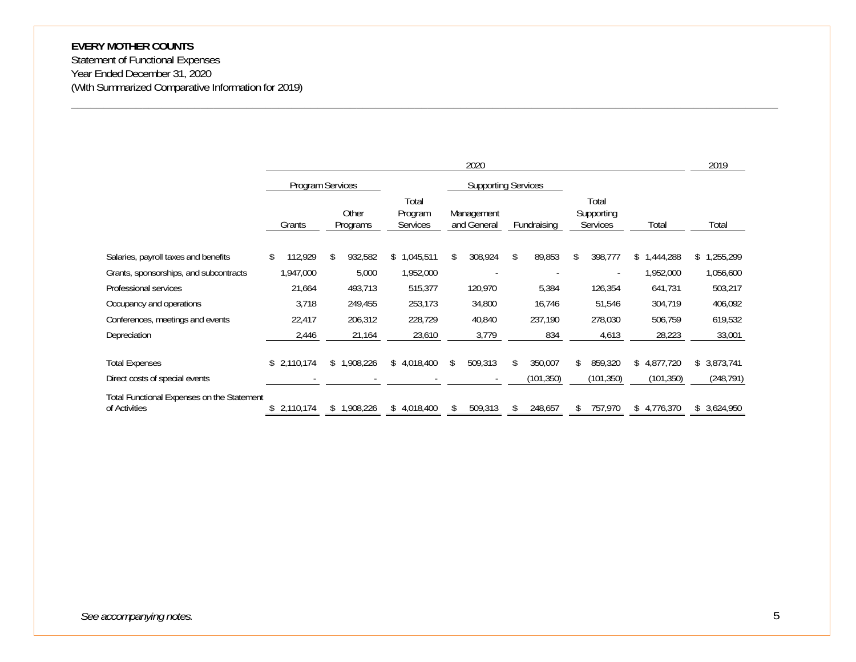Statement of Functional Expenses Year Ended December 31, 2020 (With Summarized Comparative Information for 2019)

|                                                             |                 |                   |                              | 2020                      |             |                                        |                | 2019           |
|-------------------------------------------------------------|-----------------|-------------------|------------------------------|---------------------------|-------------|----------------------------------------|----------------|----------------|
|                                                             |                 | Program Services  | <b>Supporting Services</b>   |                           |             |                                        |                |                |
|                                                             | Grants          | Other<br>Programs | Total<br>Program<br>Services | Management<br>and General | Fundraising | Total<br>Supporting<br><b>Services</b> | Total          | Total          |
| Salaries, payroll taxes and benefits                        | 112,929<br>\$   | 932,582<br>\$     | 1,045,511<br>\$              | 308,924                   | 89,853      | 398,777<br>S.                          | ,444,288<br>\$ | ,255,299<br>\$ |
| Grants, sponsorships, and subcontracts                      | 1,947,000       | 5,000             | 1,952,000                    |                           |             |                                        | 1,952,000      | 1,056,600      |
| Professional services                                       | 21,664          | 493,713           | 515,377                      | 120,970                   | 5,384       | 126,354                                | 641,731        | 503,217        |
| Occupancy and operations                                    | 3,718           | 249,455           | 253,173                      | 34,800                    | 16,746      | 51,546                                 | 304,719        | 406,092        |
| Conferences, meetings and events                            | 22,417          | 206,312           | 228,729                      | 40,840                    | 237,190     | 278,030                                | 506,759        | 619,532        |
| Depreciation                                                | 2,446           | 21,164            | 23,610                       | 3,779                     | 834         | 4,613                                  | 28,223         | 33,001         |
| <b>Total Expenses</b>                                       | 2,110,174<br>\$ | 1,908,226<br>S.   | \$4,018,400                  | 509,313<br>\$             | 350,007     | 859,320                                | \$4,877,720    | \$3,873,741    |
| Direct costs of special events                              |                 |                   |                              |                           | (101, 350)  | (101,350)                              | (101, 350)     | (248, 791)     |
| Total Functional Expenses on the Statement<br>of Activities | 2,110,174       | 1,908,226<br>S.   | 4,018,400<br>S               | 509,313                   | 248,657     | 757,970                                | 4,776,370      | \$3,624,950    |

\_\_\_\_\_\_\_\_\_\_\_\_\_\_\_\_\_\_\_\_\_\_\_\_\_\_\_\_\_\_\_\_\_\_\_\_\_\_\_\_\_\_\_\_\_\_\_\_\_\_\_\_\_\_\_\_\_\_\_\_\_\_\_\_\_\_\_\_\_\_\_\_\_\_\_\_\_\_\_\_\_\_\_\_\_\_\_\_\_\_\_\_\_\_\_\_\_\_\_\_\_\_\_\_\_\_\_\_\_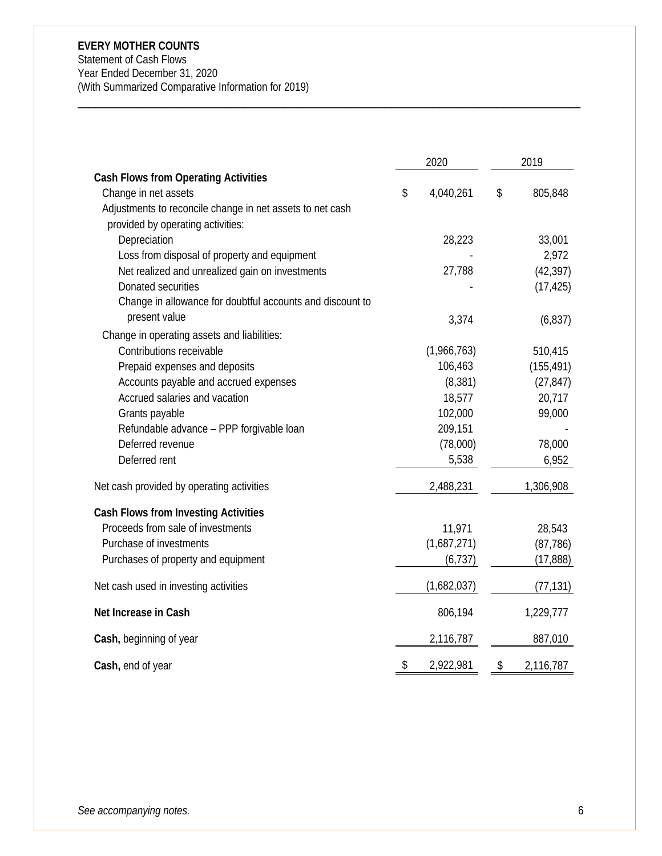Statement of Cash Flows Year Ended December 31, 2020 (With Summarized Comparative Information for 2019)

|                                                           | 2020 |             | 2019 |            |
|-----------------------------------------------------------|------|-------------|------|------------|
| <b>Cash Flows from Operating Activities</b>               |      |             |      |            |
| Change in net assets                                      | \$   | 4,040,261   | \$   | 805,848    |
| Adjustments to reconcile change in net assets to net cash |      |             |      |            |
| provided by operating activities:                         |      |             |      |            |
| Depreciation                                              |      | 28,223      |      | 33,001     |
| Loss from disposal of property and equipment              |      |             |      | 2,972      |
| Net realized and unrealized gain on investments           |      | 27,788      |      | (42, 397)  |
| Donated securities                                        |      |             |      | (17, 425)  |
| Change in allowance for doubtful accounts and discount to |      |             |      |            |
| present value                                             |      | 3,374       |      | (6, 837)   |
| Change in operating assets and liabilities:               |      |             |      |            |
| Contributions receivable                                  |      | (1,966,763) |      | 510,415    |
| Prepaid expenses and deposits                             |      | 106,463     |      | (155, 491) |
| Accounts payable and accrued expenses                     |      | (8, 381)    |      | (27, 847)  |
| Accrued salaries and vacation                             |      | 18,577      |      | 20,717     |
| Grants payable                                            |      | 102,000     |      | 99,000     |
| Refundable advance - PPP forgivable loan                  |      | 209,151     |      |            |
| Deferred revenue                                          |      | (78,000)    |      | 78,000     |
| Deferred rent                                             |      | 5,538       |      | 6,952      |
| Net cash provided by operating activities                 |      | 2,488,231   |      | 1,306,908  |
| <b>Cash Flows from Investing Activities</b>               |      |             |      |            |
| Proceeds from sale of investments                         |      | 11,971      |      | 28,543     |
| Purchase of investments                                   |      | (1,687,271) |      | (87, 786)  |
| Purchases of property and equipment                       |      | (6, 737)    |      | (17, 888)  |
| Net cash used in investing activities                     |      | (1,682,037) |      | (77, 131)  |
| Net Increase in Cash                                      |      | 806,194     |      | 1,229,777  |
| Cash, beginning of year                                   |      | 2,116,787   |      | 887,010    |
| Cash, end of year                                         | \$   | 2,922,981   | \$   | 2,116,787  |

\_\_\_\_\_\_\_\_\_\_\_\_\_\_\_\_\_\_\_\_\_\_\_\_\_\_\_\_\_\_\_\_\_\_\_\_\_\_\_\_\_\_\_\_\_\_\_\_\_\_\_\_\_\_\_\_\_\_\_\_\_\_\_\_\_\_\_\_\_\_\_\_\_\_\_\_\_\_\_\_\_\_\_\_\_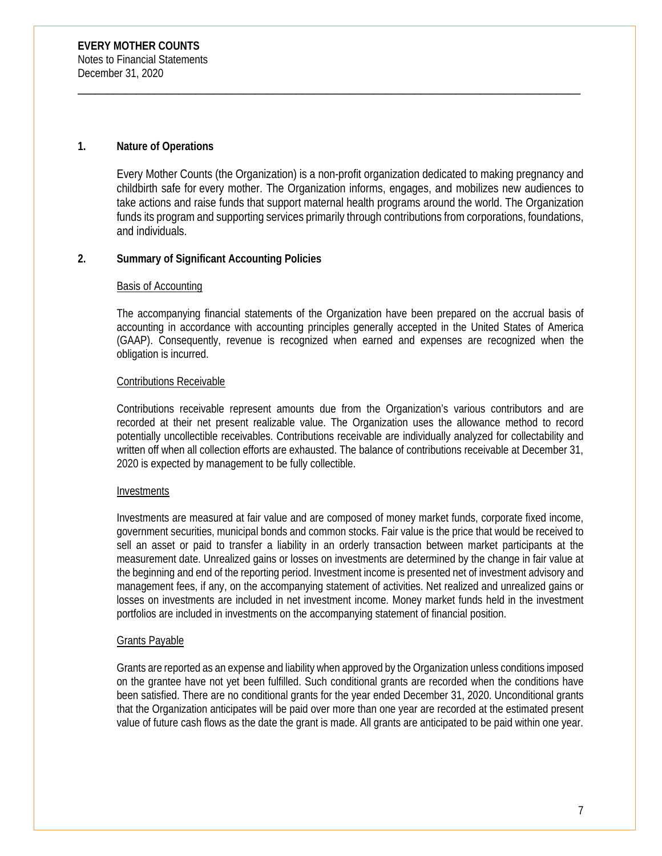#### **1. Nature of Operations**

Every Mother Counts (the Organization) is a non-profit organization dedicated to making pregnancy and childbirth safe for every mother. The Organization informs, engages, and mobilizes new audiences to take actions and raise funds that support maternal health programs around the world. The Organization funds its program and supporting services primarily through contributions from corporations, foundations, and individuals.

\_\_\_\_\_\_\_\_\_\_\_\_\_\_\_\_\_\_\_\_\_\_\_\_\_\_\_\_\_\_\_\_\_\_\_\_\_\_\_\_\_\_\_\_\_\_\_\_\_\_\_\_\_\_\_\_\_\_\_\_\_\_\_\_\_\_\_\_\_\_\_\_\_\_\_\_\_\_\_\_\_\_\_\_\_

#### **2. Summary of Significant Accounting Policies**

#### Basis of Accounting

The accompanying financial statements of the Organization have been prepared on the accrual basis of accounting in accordance with accounting principles generally accepted in the United States of America (GAAP). Consequently, revenue is recognized when earned and expenses are recognized when the obligation is incurred.

#### Contributions Receivable

Contributions receivable represent amounts due from the Organization's various contributors and are recorded at their net present realizable value. The Organization uses the allowance method to record potentially uncollectible receivables. Contributions receivable are individually analyzed for collectability and written off when all collection efforts are exhausted. The balance of contributions receivable at December 31, 2020 is expected by management to be fully collectible.

#### **Investments**

Investments are measured at fair value and are composed of money market funds, corporate fixed income, government securities, municipal bonds and common stocks. Fair value is the price that would be received to sell an asset or paid to transfer a liability in an orderly transaction between market participants at the measurement date. Unrealized gains or losses on investments are determined by the change in fair value at the beginning and end of the reporting period. Investment income is presented net of investment advisory and management fees, if any, on the accompanying statement of activities. Net realized and unrealized gains or losses on investments are included in net investment income. Money market funds held in the investment portfolios are included in investments on the accompanying statement of financial position.

#### Grants Payable

Grants are reported as an expense and liability when approved by the Organization unless conditions imposed on the grantee have not yet been fulfilled. Such conditional grants are recorded when the conditions have been satisfied. There are no conditional grants for the year ended December 31, 2020. Unconditional grants that the Organization anticipates will be paid over more than one year are recorded at the estimated present value of future cash flows as the date the grant is made. All grants are anticipated to be paid within one year.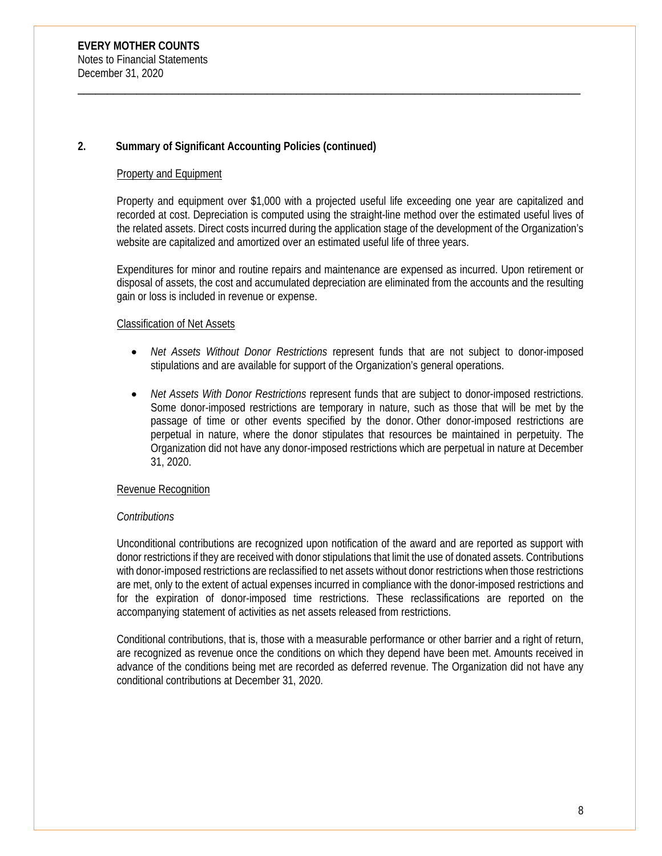#### Property and Equipment

Property and equipment over \$1,000 with a projected useful life exceeding one year are capitalized and recorded at cost. Depreciation is computed using the straight-line method over the estimated useful lives of the related assets. Direct costs incurred during the application stage of the development of the Organization's website are capitalized and amortized over an estimated useful life of three years.

\_\_\_\_\_\_\_\_\_\_\_\_\_\_\_\_\_\_\_\_\_\_\_\_\_\_\_\_\_\_\_\_\_\_\_\_\_\_\_\_\_\_\_\_\_\_\_\_\_\_\_\_\_\_\_\_\_\_\_\_\_\_\_\_\_\_\_\_\_\_\_\_\_\_\_\_\_\_\_\_\_\_\_\_\_

Expenditures for minor and routine repairs and maintenance are expensed as incurred. Upon retirement or disposal of assets, the cost and accumulated depreciation are eliminated from the accounts and the resulting gain or loss is included in revenue or expense.

#### Classification of Net Assets

- *Net Assets Without Donor Restrictions* represent funds that are not subject to donor-imposed stipulations and are available for support of the Organization's general operations.
- *Net Assets With Donor Restrictions* represent funds that are subject to donor-imposed restrictions. Some donor-imposed restrictions are temporary in nature, such as those that will be met by the passage of time or other events specified by the donor. Other donor-imposed restrictions are perpetual in nature, where the donor stipulates that resources be maintained in perpetuity. The Organization did not have any donor-imposed restrictions which are perpetual in nature at December 31, 2020.

#### Revenue Recognition

#### *Contributions*

Unconditional contributions are recognized upon notification of the award and are reported as support with donor restrictions if they are received with donor stipulations that limit the use of donated assets. Contributions with donor-imposed restrictions are reclassified to net assets without donor restrictions when those restrictions are met, only to the extent of actual expenses incurred in compliance with the donor-imposed restrictions and for the expiration of donor-imposed time restrictions. These reclassifications are reported on the accompanying statement of activities as net assets released from restrictions.

Conditional contributions, that is, those with a measurable performance or other barrier and a right of return, are recognized as revenue once the conditions on which they depend have been met. Amounts received in advance of the conditions being met are recorded as deferred revenue. The Organization did not have any conditional contributions at December 31, 2020.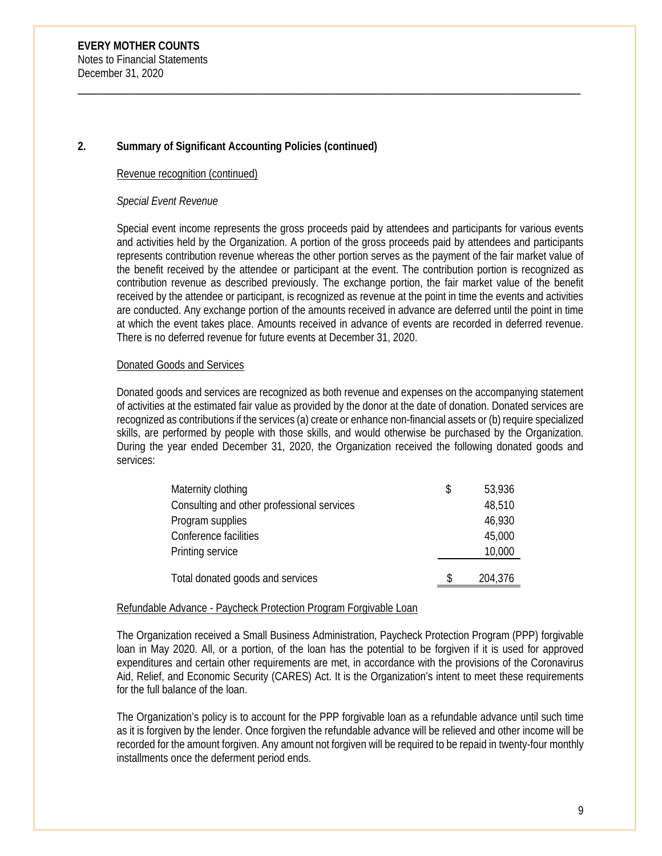#### Revenue recognition (continued)

#### *Special Event Revenue*

Special event income represents the gross proceeds paid by attendees and participants for various events and activities held by the Organization. A portion of the gross proceeds paid by attendees and participants represents contribution revenue whereas the other portion serves as the payment of the fair market value of the benefit received by the attendee or participant at the event. The contribution portion is recognized as contribution revenue as described previously. The exchange portion, the fair market value of the benefit received by the attendee or participant, is recognized as revenue at the point in time the events and activities are conducted. Any exchange portion of the amounts received in advance are deferred until the point in time at which the event takes place. Amounts received in advance of events are recorded in deferred revenue. There is no deferred revenue for future events at December 31, 2020.

\_\_\_\_\_\_\_\_\_\_\_\_\_\_\_\_\_\_\_\_\_\_\_\_\_\_\_\_\_\_\_\_\_\_\_\_\_\_\_\_\_\_\_\_\_\_\_\_\_\_\_\_\_\_\_\_\_\_\_\_\_\_\_\_\_\_\_\_\_\_\_\_\_\_\_\_\_\_\_\_\_\_\_\_\_

#### Donated Goods and Services

Donated goods and services are recognized as both revenue and expenses on the accompanying statement of activities at the estimated fair value as provided by the donor at the date of donation. Donated services are recognized as contributions if the services (a) create or enhance non-financial assets or (b) require specialized skills, are performed by people with those skills, and would otherwise be purchased by the Organization. During the year ended December 31, 2020, the Organization received the following donated goods and services:

| Maternity clothing                         | \$<br>53,936 |
|--------------------------------------------|--------------|
| Consulting and other professional services | 48,510       |
| Program supplies                           | 46,930       |
| Conference facilities                      | 45,000       |
| Printing service                           | 10,000       |
| Total donated goods and services           | 204,376      |

#### Refundable Advance - Paycheck Protection Program Forgivable Loan

The Organization received a Small Business Administration, Paycheck Protection Program (PPP) forgivable loan in May 2020. All, or a portion, of the loan has the potential to be forgiven if it is used for approved expenditures and certain other requirements are met, in accordance with the provisions of the Coronavirus Aid, Relief, and Economic Security (CARES) Act. It is the Organization's intent to meet these requirements for the full balance of the loan.

The Organization's policy is to account for the PPP forgivable loan as a refundable advance until such time as it is forgiven by the lender. Once forgiven the refundable advance will be relieved and other income will be recorded for the amount forgiven. Any amount not forgiven will be required to be repaid in twenty-four monthly installments once the deferment period ends.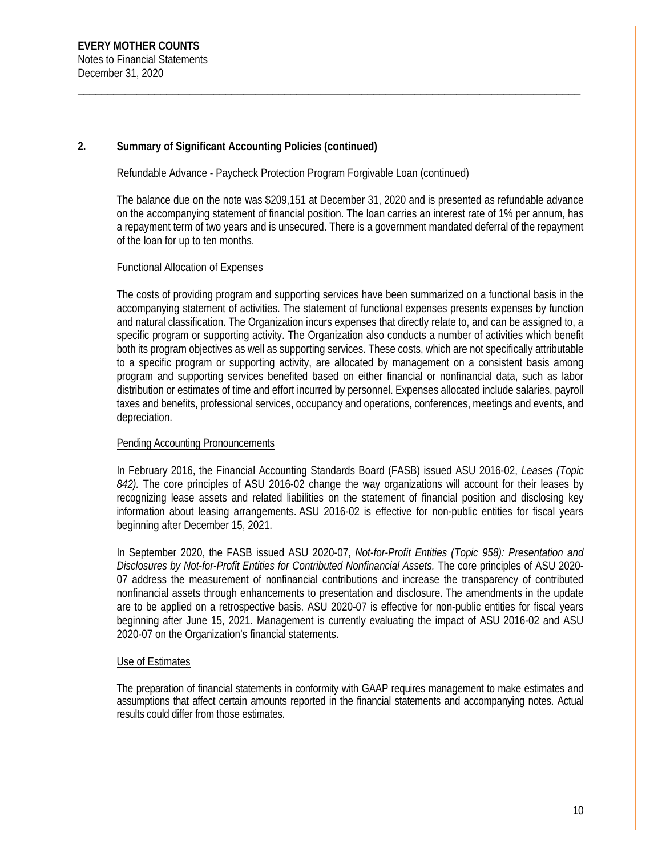#### Refundable Advance - Paycheck Protection Program Forgivable Loan (continued)

The balance due on the note was \$209,151 at December 31, 2020 and is presented as refundable advance on the accompanying statement of financial position. The loan carries an interest rate of 1% per annum, has a repayment term of two years and is unsecured. There is a government mandated deferral of the repayment of the loan for up to ten months.

\_\_\_\_\_\_\_\_\_\_\_\_\_\_\_\_\_\_\_\_\_\_\_\_\_\_\_\_\_\_\_\_\_\_\_\_\_\_\_\_\_\_\_\_\_\_\_\_\_\_\_\_\_\_\_\_\_\_\_\_\_\_\_\_\_\_\_\_\_\_\_\_\_\_\_\_\_\_\_\_\_\_\_\_\_

#### Functional Allocation of Expenses

The costs of providing program and supporting services have been summarized on a functional basis in the accompanying statement of activities. The statement of functional expenses presents expenses by function and natural classification. The Organization incurs expenses that directly relate to, and can be assigned to, a specific program or supporting activity. The Organization also conducts a number of activities which benefit both its program objectives as well as supporting services. These costs, which are not specifically attributable to a specific program or supporting activity, are allocated by management on a consistent basis among program and supporting services benefited based on either financial or nonfinancial data, such as labor distribution or estimates of time and effort incurred by personnel. Expenses allocated include salaries, payroll taxes and benefits, professional services, occupancy and operations, conferences, meetings and events, and depreciation.

#### Pending Accounting Pronouncements

In February 2016, the Financial Accounting Standards Board (FASB) issued ASU 2016-02, *Leases (Topic 842).* The core principles of ASU 2016-02 change the way organizations will account for their leases by recognizing lease assets and related liabilities on the statement of financial position and disclosing key information about leasing arrangements. ASU 2016-02 is effective for non-public entities for fiscal years beginning after December 15, 2021.

In September 2020, the FASB issued ASU 2020-07, *Not-for-Profit Entities (Topic 958): Presentation and Disclosures by Not-for-Profit Entities for Contributed Nonfinancial Assets.* The core principles of ASU 2020- 07 address the measurement of nonfinancial contributions and increase the transparency of contributed nonfinancial assets through enhancements to presentation and disclosure. The amendments in the update are to be applied on a retrospective basis. ASU 2020-07 is effective for non-public entities for fiscal years beginning after June 15, 2021. Management is currently evaluating the impact of ASU 2016-02 and ASU 2020-07 on the Organization's financial statements.

#### Use of Estimates

The preparation of financial statements in conformity with GAAP requires management to make estimates and assumptions that affect certain amounts reported in the financial statements and accompanying notes. Actual results could differ from those estimates.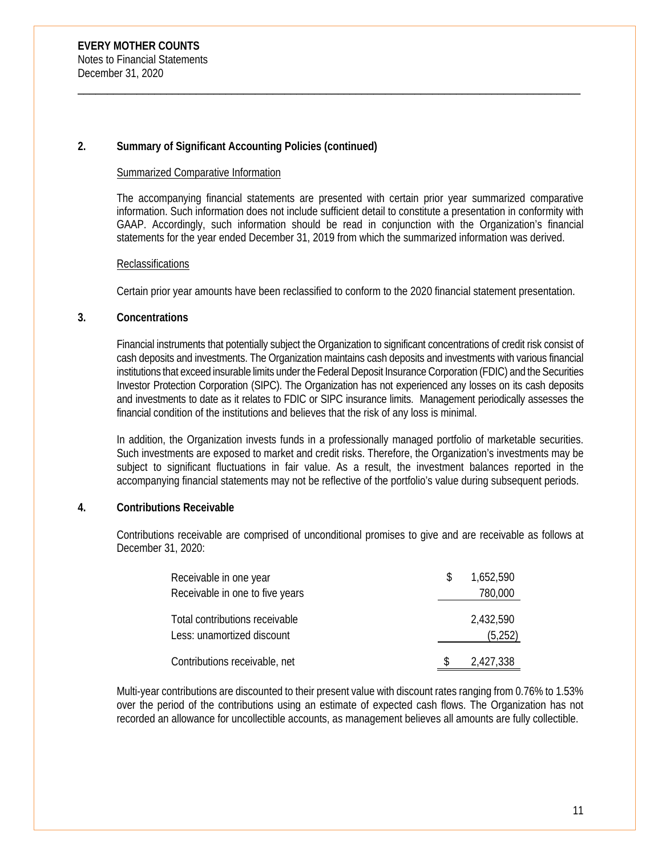#### Summarized Comparative Information

The accompanying financial statements are presented with certain prior year summarized comparative information. Such information does not include sufficient detail to constitute a presentation in conformity with GAAP. Accordingly, such information should be read in conjunction with the Organization's financial statements for the year ended December 31, 2019 from which the summarized information was derived.

\_\_\_\_\_\_\_\_\_\_\_\_\_\_\_\_\_\_\_\_\_\_\_\_\_\_\_\_\_\_\_\_\_\_\_\_\_\_\_\_\_\_\_\_\_\_\_\_\_\_\_\_\_\_\_\_\_\_\_\_\_\_\_\_\_\_\_\_\_\_\_\_\_\_\_\_\_\_\_\_\_\_\_\_\_

#### **Reclassifications**

Certain prior year amounts have been reclassified to conform to the 2020 financial statement presentation.

#### **3. Concentrations**

Financial instruments that potentially subject the Organization to significant concentrations of credit risk consist of cash deposits and investments. The Organization maintains cash deposits and investments with various financial institutions that exceed insurable limits under the Federal Deposit Insurance Corporation (FDIC) and the Securities Investor Protection Corporation (SIPC). The Organization has not experienced any losses on its cash deposits and investments to date as it relates to FDIC or SIPC insurance limits. Management periodically assesses the financial condition of the institutions and believes that the risk of any loss is minimal.

In addition, the Organization invests funds in a professionally managed portfolio of marketable securities. Such investments are exposed to market and credit risks. Therefore, the Organization's investments may be subject to significant fluctuations in fair value. As a result, the investment balances reported in the accompanying financial statements may not be reflective of the portfolio's value during subsequent periods.

## **4. Contributions Receivable**

Contributions receivable are comprised of unconditional promises to give and are receivable as follows at December 31, 2020:

| Receivable in one year                                       | 1,652,590            |
|--------------------------------------------------------------|----------------------|
| Receivable in one to five years                              | 780,000              |
| Total contributions receivable<br>Less: unamortized discount | 2,432,590<br>(5,252) |
| Contributions receivable, net                                | 2,427,338            |

Multi-year contributions are discounted to their present value with discount rates ranging from 0.76% to 1.53% over the period of the contributions using an estimate of expected cash flows. The Organization has not recorded an allowance for uncollectible accounts, as management believes all amounts are fully collectible.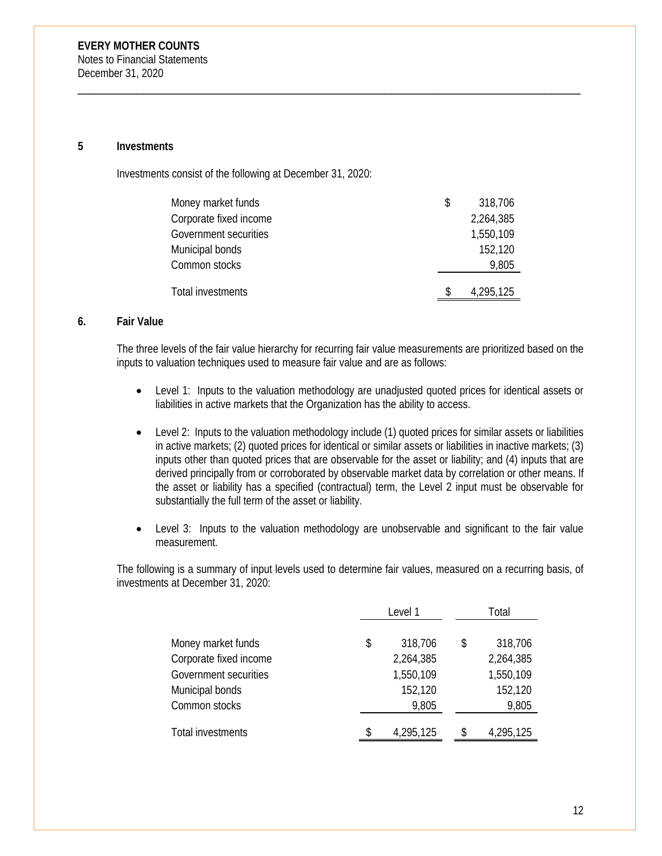#### **5 Investments**

Investments consist of the following at December 31, 2020:

| Money market funds     | \$<br>318,706 |
|------------------------|---------------|
| Corporate fixed income | 2,264,385     |
| Government securities  | 1,550,109     |
| Municipal bonds        | 152,120       |
| Common stocks          | 9,805         |
| Total investments      | 4,295,125     |
|                        |               |

\_\_\_\_\_\_\_\_\_\_\_\_\_\_\_\_\_\_\_\_\_\_\_\_\_\_\_\_\_\_\_\_\_\_\_\_\_\_\_\_\_\_\_\_\_\_\_\_\_\_\_\_\_\_\_\_\_\_\_\_\_\_\_\_\_\_\_\_\_\_\_\_\_\_\_\_\_\_\_\_\_\_\_\_\_

#### **6. Fair Value**

The three levels of the fair value hierarchy for recurring fair value measurements are prioritized based on the inputs to valuation techniques used to measure fair value and are as follows:

- Level 1: Inputs to the valuation methodology are unadjusted quoted prices for identical assets or liabilities in active markets that the Organization has the ability to access.
- Level 2: Inputs to the valuation methodology include (1) quoted prices for similar assets or liabilities in active markets; (2) quoted prices for identical or similar assets or liabilities in inactive markets; (3) inputs other than quoted prices that are observable for the asset or liability; and (4) inputs that are derived principally from or corroborated by observable market data by correlation or other means. If the asset or liability has a specified (contractual) term, the Level 2 input must be observable for substantially the full term of the asset or liability.
- Level 3: Inputs to the valuation methodology are unobservable and significant to the fair value measurement.

The following is a summary of input levels used to determine fair values, measured on a recurring basis, of investments at December 31, 2020:

|                        |    | Level 1   |    | Total     |
|------------------------|----|-----------|----|-----------|
|                        |    |           |    |           |
| Money market funds     | \$ | 318,706   | \$ | 318,706   |
| Corporate fixed income |    | 2,264,385 |    | 2,264,385 |
| Government securities  |    | 1,550,109 |    | 1,550,109 |
| Municipal bonds        |    | 152,120   |    | 152,120   |
| Common stocks          |    | 9,805     |    | 9,805     |
|                        |    |           |    |           |
| Total investments      | S  | 4,295,125 | \$ | 4,295,125 |
|                        |    |           |    |           |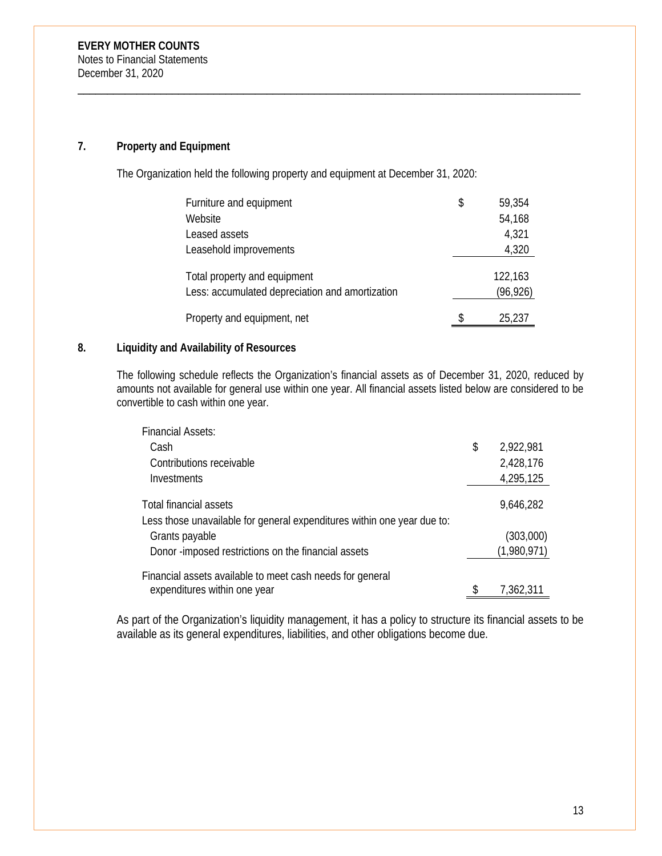# **7. Property and Equipment**

The Organization held the following property and equipment at December 31, 2020:

\_\_\_\_\_\_\_\_\_\_\_\_\_\_\_\_\_\_\_\_\_\_\_\_\_\_\_\_\_\_\_\_\_\_\_\_\_\_\_\_\_\_\_\_\_\_\_\_\_\_\_\_\_\_\_\_\_\_\_\_\_\_\_\_\_\_\_\_\_\_\_\_\_\_\_\_\_\_\_\_\_\_\_\_\_

| Furniture and equipment                                                         | \$  | 59,354               |
|---------------------------------------------------------------------------------|-----|----------------------|
| Website                                                                         |     | 54,168               |
| Leased assets                                                                   |     | 4,321                |
| Leasehold improvements                                                          |     | 4,320                |
| Total property and equipment<br>Less: accumulated depreciation and amortization |     | 122,163<br>(96, 926) |
| Property and equipment, net                                                     | \$. | 25,237               |

## **8. Liquidity and Availability of Resources**

The following schedule reflects the Organization's financial assets as of December 31, 2020, reduced by amounts not available for general use within one year. All financial assets listed below are considered to be convertible to cash within one year.

| <b>Financial Assets:</b>                                                                          |                 |
|---------------------------------------------------------------------------------------------------|-----------------|
| Cash                                                                                              | \$<br>2,922,981 |
| Contributions receivable                                                                          | 2,428,176       |
| Investments                                                                                       | 4,295,125       |
| Total financial assets<br>Less those unavailable for general expenditures within one year due to: | 9,646,282       |
| Grants payable                                                                                    | (303,000)       |
| Donor -imposed restrictions on the financial assets                                               | (1,980,971)     |
| Financial assets available to meet cash needs for general                                         |                 |
| expenditures within one year                                                                      | 7,362,311       |

As part of the Organization's liquidity management, it has a policy to structure its financial assets to be available as its general expenditures, liabilities, and other obligations become due.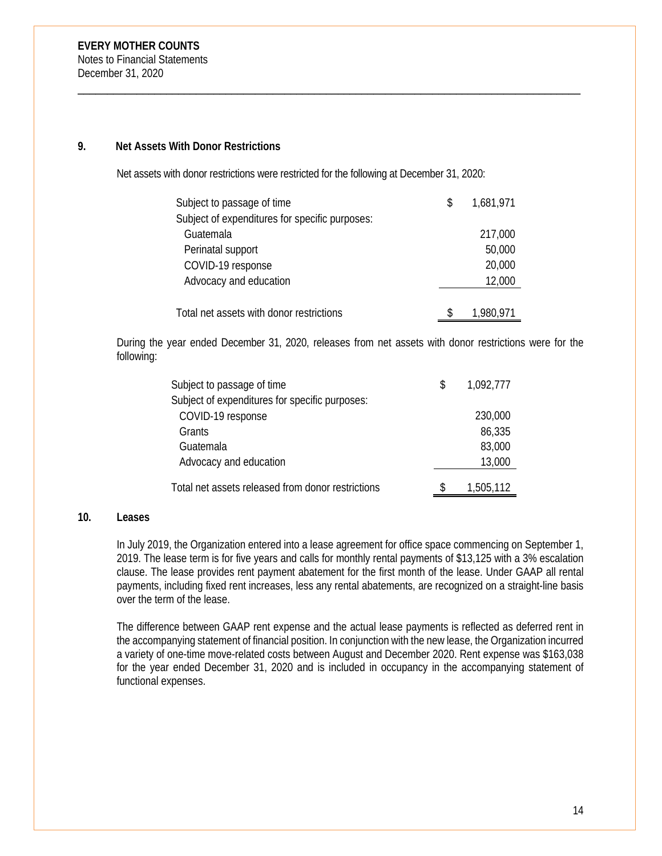#### **9. Net Assets With Donor Restrictions**

Net assets with donor restrictions were restricted for the following at December 31, 2020:

\_\_\_\_\_\_\_\_\_\_\_\_\_\_\_\_\_\_\_\_\_\_\_\_\_\_\_\_\_\_\_\_\_\_\_\_\_\_\_\_\_\_\_\_\_\_\_\_\_\_\_\_\_\_\_\_\_\_\_\_\_\_\_\_\_\_\_\_\_\_\_\_\_\_\_\_\_\_\_\_\_\_\_\_\_

| Subject to passage of time                     | S | 1,681,971 |
|------------------------------------------------|---|-----------|
| Subject of expenditures for specific purposes: |   |           |
| Guatemala                                      |   | 217,000   |
| Perinatal support                              |   | 50,000    |
| COVID-19 response                              |   | 20,000    |
| Advocacy and education                         |   | 12,000    |
|                                                |   |           |
| Total net assets with donor restrictions       | S | 1,980,971 |

During the year ended December 31, 2020, releases from net assets with donor restrictions were for the following:

| Subject to passage of time                        | S | 1,092,777 |
|---------------------------------------------------|---|-----------|
| Subject of expenditures for specific purposes:    |   |           |
| COVID-19 response                                 |   | 230,000   |
| Grants                                            |   | 86,335    |
| Guatemala                                         |   | 83,000    |
| Advocacy and education                            |   | 13,000    |
| Total net assets released from donor restrictions |   | 1,505,112 |

#### **10. Leases**

In July 2019, the Organization entered into a lease agreement for office space commencing on September 1, 2019. The lease term is for five years and calls for monthly rental payments of \$13,125 with a 3% escalation clause. The lease provides rent payment abatement for the first month of the lease. Under GAAP all rental payments, including fixed rent increases, less any rental abatements, are recognized on a straight-line basis over the term of the lease.

The difference between GAAP rent expense and the actual lease payments is reflected as deferred rent in the accompanying statement of financial position. In conjunction with the new lease, the Organization incurred a variety of one-time move-related costs between August and December 2020. Rent expense was \$163,038 for the year ended December 31, 2020 and is included in occupancy in the accompanying statement of functional expenses.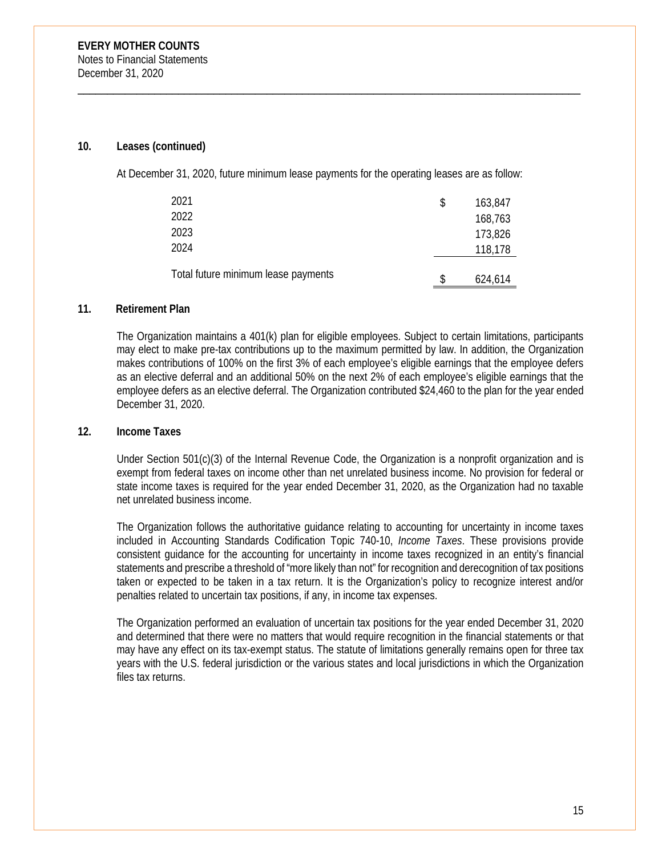#### **10. Leases (continued)**

At December 31, 2020, future minimum lease payments for the operating leases are as follow:

\_\_\_\_\_\_\_\_\_\_\_\_\_\_\_\_\_\_\_\_\_\_\_\_\_\_\_\_\_\_\_\_\_\_\_\_\_\_\_\_\_\_\_\_\_\_\_\_\_\_\_\_\_\_\_\_\_\_\_\_\_\_\_\_\_\_\_\_\_\_\_\_\_\_\_\_\_\_\_\_\_\_\_\_\_

| 2021                                | \$ | 163,847 |
|-------------------------------------|----|---------|
| 2022                                |    | 168,763 |
| 2023                                |    | 173,826 |
| 2024                                |    | 118,178 |
| Total future minimum lease payments | S  | 624,614 |

#### **11. Retirement Plan**

The Organization maintains a 401(k) plan for eligible employees. Subject to certain limitations, participants may elect to make pre-tax contributions up to the maximum permitted by law. In addition, the Organization makes contributions of 100% on the first 3% of each employee's eligible earnings that the employee defers as an elective deferral and an additional 50% on the next 2% of each employee's eligible earnings that the employee defers as an elective deferral. The Organization contributed \$24,460 to the plan for the year ended December 31, 2020.

#### **12. Income Taxes**

Under Section 501(c)(3) of the Internal Revenue Code, the Organization is a nonprofit organization and is exempt from federal taxes on income other than net unrelated business income. No provision for federal or state income taxes is required for the year ended December 31, 2020, as the Organization had no taxable net unrelated business income.

The Organization follows the authoritative guidance relating to accounting for uncertainty in income taxes included in Accounting Standards Codification Topic 740-10, *Income Taxes*. These provisions provide consistent guidance for the accounting for uncertainty in income taxes recognized in an entity's financial statements and prescribe a threshold of "more likely than not" for recognition and derecognition of tax positions taken or expected to be taken in a tax return. It is the Organization's policy to recognize interest and/or penalties related to uncertain tax positions, if any, in income tax expenses.

The Organization performed an evaluation of uncertain tax positions for the year ended December 31, 2020 and determined that there were no matters that would require recognition in the financial statements or that may have any effect on its tax-exempt status. The statute of limitations generally remains open for three tax years with the U.S. federal jurisdiction or the various states and local jurisdictions in which the Organization files tax returns.